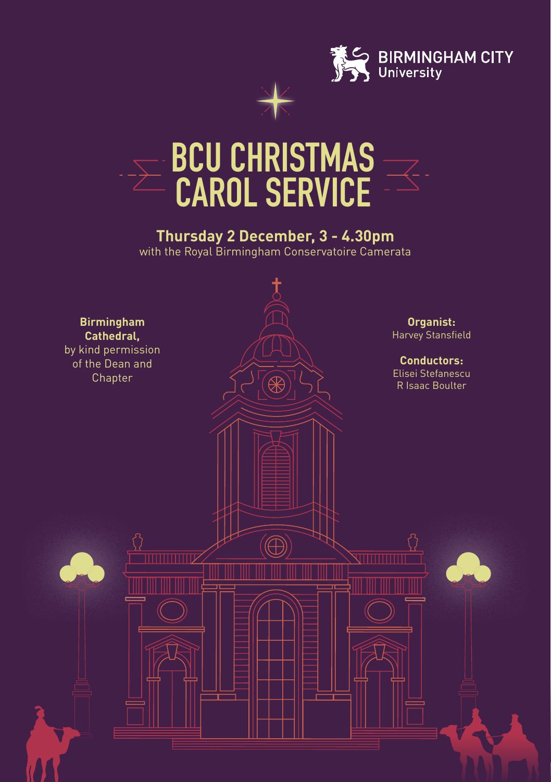



**Thursday 2 December, 3 - 4.30pm**

with the Royal Birmingham Conservatoire Camerata

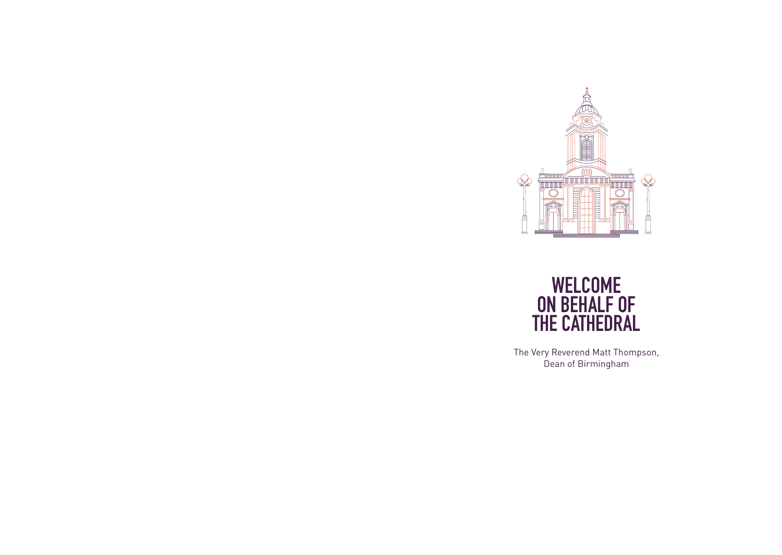



The Very Reverend Matt Thompson, Dean of Birmingham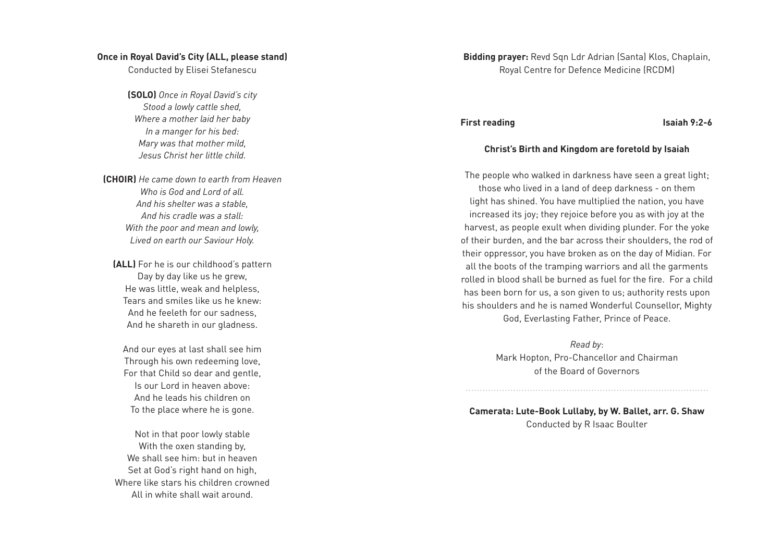# **Once in Royal David's City (ALL, please stand)**

Conducted by Elisei Stefanescu

**(SOLO)** *Once in Royal David's city Stood a lowly cattle shed, Where a mother laid her baby In a manger for his bed: Mary was that mother mild, Jesus Christ her little child.*

**(CHOIR)** *He came down to earth from Heaven Who is God and Lord of all. And his shelter was a stable, And his cradle was a stall: With the poor and mean and lowly, Lived on earth our Saviour Holy.*

**(ALL)** For he is our childhood's pattern Day by day like us he grew, He was little, weak and helpless, Tears and smiles like us he knew: And he feeleth for our sadness, And he shareth in our gladness.

And our eyes at last shall see him Through his own redeeming love, For that Child so dear and gentle, Is our Lord in heaven above: And he leads his children on To the place where he is gone.

Not in that poor lowly stable With the oxen standing by, We shall see him: but in heaven Set at God's right hand on high, Where like stars his children crowned All in white shall wait around.

**Bidding prayer:** Revd Sqn Ldr Adrian (Santa) Klos, Chaplain, Royal Centre for Defence Medicine (RCDM)

# **First reading The Isaiah 9:2-6**

### **Christ's Birth and Kingdom are foretold by Isaiah**

The people who walked in darkness have seen a great light; those who lived in a land of deep darkness - on them light has shined. You have multiplied the nation, you have increased its joy; they rejoice before you as with joy at the harvest, as people exult when dividing plunder. For the yoke of their burden, and the bar across their shoulders, the rod of their oppressor, you have broken as on the day of Midian. For all the boots of the tramping warriors and all the garments rolled in blood shall be burned as fuel for the fire. For a child has been born for us, a son given to us; authority rests upon his shoulders and he is named Wonderful Counsellor, Mighty God, Everlasting Father, Prince of Peace.

*Read by*:

Mark Hopton, Pro-Chancellor and Chairman of the Board of Governors

**Camerata: Lute-Book Lullaby, by W. Ballet, arr. G. Shaw** 

Conducted by R Isaac Boulter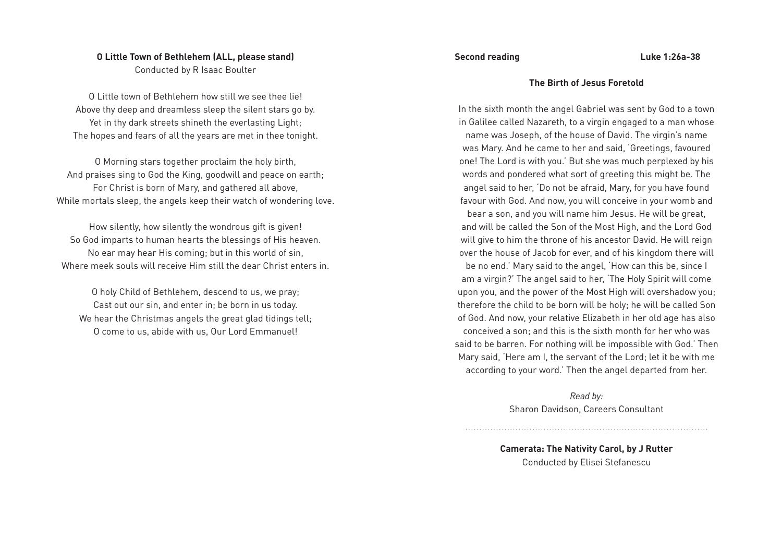# **O Little Town of Bethlehem (ALL, please stand)** Conducted by R Isaac Boulter

O Little town of Bethlehem how still we see thee lie! Above thy deep and dreamless sleep the silent stars go by. Yet in thy dark streets shineth the everlasting Light; The hopes and fears of all the years are met in thee tonight.

O Morning stars together proclaim the holy birth, And praises sing to God the King, goodwill and peace on earth; For Christ is born of Mary, and gathered all above, While mortals sleep, the angels keep their watch of wondering love.

How silently, how silently the wondrous gift is given! So God imparts to human hearts the blessings of His heaven. No ear may hear His coming; but in this world of sin, Where meek souls will receive Him still the dear Christ enters in.

O holy Child of Bethlehem, descend to us, we pray; Cast out our sin, and enter in; be born in us today. We hear the Christmas angels the great glad tidings tell: O come to us, abide with us, Our Lord Emmanuel!

# **Second reading Luke 1:26a-38**

# **The Birth of Jesus Foretold**

In the sixth month the angel Gabriel was sent by God to a town in Galilee called Nazareth, to a virgin engaged to a man whose name was Joseph, of the house of David. The virgin's name was Mary. And he came to her and said, 'Greetings, favoured one! The Lord is with you.' But she was much perplexed by his words and pondered what sort of greeting this might be. The angel said to her, 'Do not be afraid, Mary, for you have found favour with God. And now, you will conceive in your womb and bear a son, and you will name him Jesus. He will be great,

and will be called the Son of the Most High, and the Lord God will give to him the throne of his ancestor David. He will reign over the house of Jacob for ever, and of his kingdom there will

be no end.' Mary said to the angel, 'How can this be, since I am a virgin?' The angel said to her, 'The Holy Spirit will come upon you, and the power of the Most High will overshadow you; therefore the child to be born will be holy; he will be called Son of God. And now, your relative Elizabeth in her old age has also conceived a son; and this is the sixth month for her who was said to be barren. For nothing will be impossible with God.' Then Mary said, 'Here am I, the servant of the Lord; let it be with me according to your word.' Then the angel departed from her.

> *Read by:* Sharon Davidson, Careers Consultant

**Camerata: The Nativity Carol, by J Rutter**  Conducted by Elisei Stefanescu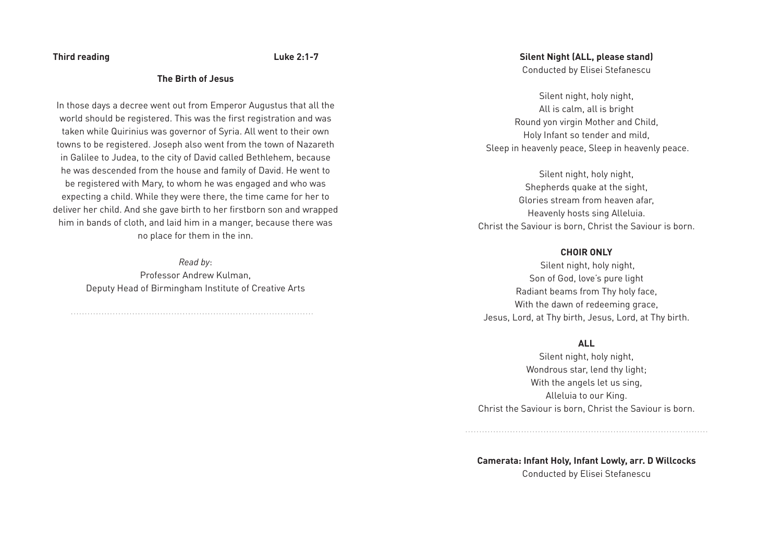# **Third reading Community Community Community Community Community Community Community Community Community Community Community Community Community Community Community Community Community Community Community Community Communi**

### **The Birth of Jesus**

In those days a decree went out from Emperor Augustus that all the world should be registered. This was the first registration and was taken while Quirinius was governor of Syria. All went to their own towns to be registered. Joseph also went from the town of Nazareth in Galilee to Judea, to the city of David called Bethlehem, because he was descended from the house and family of David. He went to be registered with Mary, to whom he was engaged and who was expecting a child. While they were there, the time came for her to deliver her child. And she gave birth to her firstborn son and wrapped him in bands of cloth, and laid him in a manger, because there was no place for them in the inn.

> *Read by*: Professor Andrew Kulman, Deputy Head of Birmingham Institute of Creative Arts

**Silent Night (ALL, please stand)**  Conducted by Elisei Stefanescu

Silent night, holy night, All is calm, all is bright Round yon virgin Mother and Child, Holy Infant so tender and mild, Sleep in heavenly peace, Sleep in heavenly peace.

Silent night, holy night, Shepherds quake at the sight, Glories stream from heaven afar, Heavenly hosts sing Alleluia. Christ the Saviour is born, Christ the Saviour is born.

### **CHOIR ONLY**

 Silent night, holy night, Son of God, love's pure light Radiant beams from Thy holy face, With the dawn of redeeming grace, Jesus, Lord, at Thy birth, Jesus, Lord, at Thy birth.

# **ALL**

Silent night, holy night, Wondrous star, lend thy light; With the angels let us sing, Alleluia to our King. Christ the Saviour is born, Christ the Saviour is born.

**Camerata: Infant Holy, Infant Lowly, arr. D Willcocks** Conducted by Elisei Stefanescu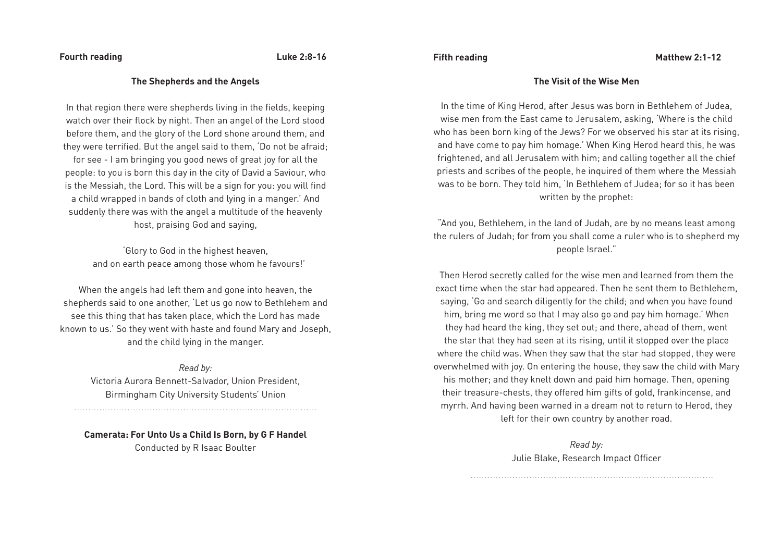# **Fourth reading Community Community Research Fourth Property Community Community Community Community Community Community Community Community Community Community Community Community Community Community Community Community C**

### **The Shepherds and the Angels**

In that region there were shepherds living in the fields, keeping watch over their flock by night. Then an angel of the Lord stood before them, and the glory of the Lord shone around them, and they were terrified. But the angel said to them, 'Do not be afraid; for see - I am bringing you good news of great joy for all the people: to you is born this day in the city of David a Saviour, who is the Messiah, the Lord. This will be a sign for you: you will find a child wrapped in bands of cloth and lying in a manger.' And suddenly there was with the angel a multitude of the heavenly host, praising God and saying,

> 'Glory to God in the highest heaven, and on earth peace among those whom he favours!'

When the angels had left them and gone into heaven, the shepherds said to one another, 'Let us go now to Bethlehem and see this thing that has taken place, which the Lord has made known to us.' So they went with haste and found Mary and Joseph, and the child lying in the manger.

> *Read by:* Victoria Aurora Bennett-Salvador, Union President, Birmingham City University Students' Union

**Camerata: For Unto Us a Child Is Born, by G F Handel** Conducted by R Isaac Boulter

### **Fifth reading Matthew 2:1-12**

# **The Visit of the Wise Men**

In the time of King Herod, after Jesus was born in Bethlehem of Judea, wise men from the East came to Jerusalem, asking, 'Where is the child who has been born king of the Jews? For we observed his star at its rising, and have come to pay him homage.' When King Herod heard this, he was frightened, and all Jerusalem with him; and calling together all the chief priests and scribes of the people, he inquired of them where the Messiah was to be born. They told him, 'In Bethlehem of Judea; for so it has been written by the prophet:

"And you, Bethlehem, in the land of Judah, are by no means least among the rulers of Judah; for from you shall come a ruler who is to shepherd my people Israel."

Then Herod secretly called for the wise men and learned from them the exact time when the star had appeared. Then he sent them to Bethlehem, saying, 'Go and search diligently for the child; and when you have found him, bring me word so that I may also go and pay him homage.' When they had heard the king, they set out; and there, ahead of them, went the star that they had seen at its rising, until it stopped over the place where the child was. When they saw that the star had stopped, they were overwhelmed with joy. On entering the house, they saw the child with Mary his mother; and they knelt down and paid him homage. Then, opening their treasure-chests, they offered him gifts of gold, frankincense, and myrrh. And having been warned in a dream not to return to Herod, they left for their own country by another road.

> *Read by:*  Julie Blake, Research Impact Officer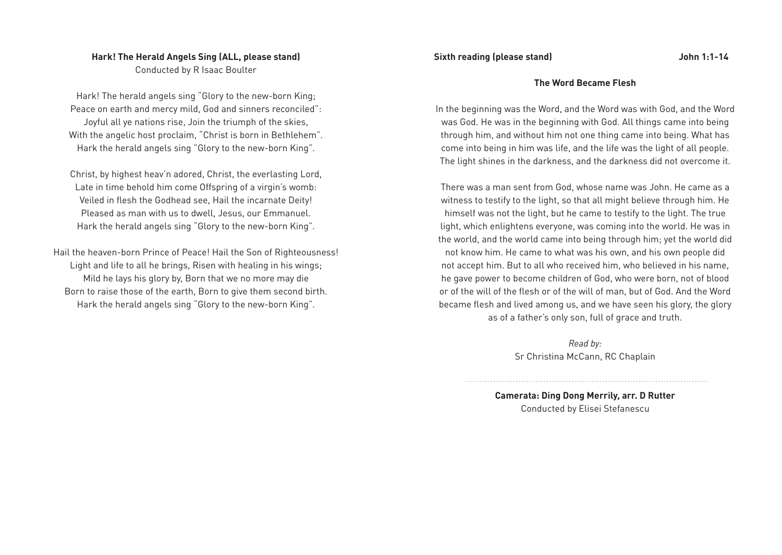# **Hark! The Herald Angels Sing (ALL, please stand)**

Conducted by R Isaac Boulter

Hark! The herald angels sing "Glory to the new-born King; Peace on earth and mercy mild, God and sinners reconciled": Joyful all ye nations rise, Join the triumph of the skies, With the angelic host proclaim, "Christ is born in Bethlehem". Hark the herald angels sing "Glory to the new-born King".

Christ, by highest heav'n adored, Christ, the everlasting Lord, Late in time behold him come Offspring of a virgin's womb: Veiled in flesh the Godhead see, Hail the incarnate Deity! Pleased as man with us to dwell, Jesus, our Emmanuel. Hark the herald angels sing "Glory to the new-born King".

Hail the heaven-born Prince of Peace! Hail the Son of Righteousness! Light and life to all he brings, Risen with healing in his wings; Mild he lays his glory by, Born that we no more may die Born to raise those of the earth, Born to give them second birth. Hark the herald angels sing "Glory to the new-born King".

# **Sixth reading (please stand) John 1:1-14**

# **The Word Became Flesh**

In the beginning was the Word, and the Word was with God, and the Word was God. He was in the beginning with God. All things came into being through him, and without him not one thing came into being. What has come into being in him was life, and the life was the light of all people. The light shines in the darkness, and the darkness did not overcome it.

There was a man sent from God, whose name was John. He came as a witness to testify to the light, so that all might believe through him. He himself was not the light, but he came to testify to the light. The true light, which enlightens everyone, was coming into the world. He was in the world, and the world came into being through him; yet the world did not know him. He came to what was his own, and his own people did not accept him. But to all who received him, who believed in his name, he gave power to become children of God, who were born, not of blood or of the will of the flesh or of the will of man, but of God. And the Word became flesh and lived among us, and we have seen his glory, the glory as of a father's only son, full of grace and truth.

> *Read by:* Sr Christina McCann, RC Chaplain

**Camerata: Ding Dong Merrily, arr. D Rutter** Conducted by Elisei Stefanescu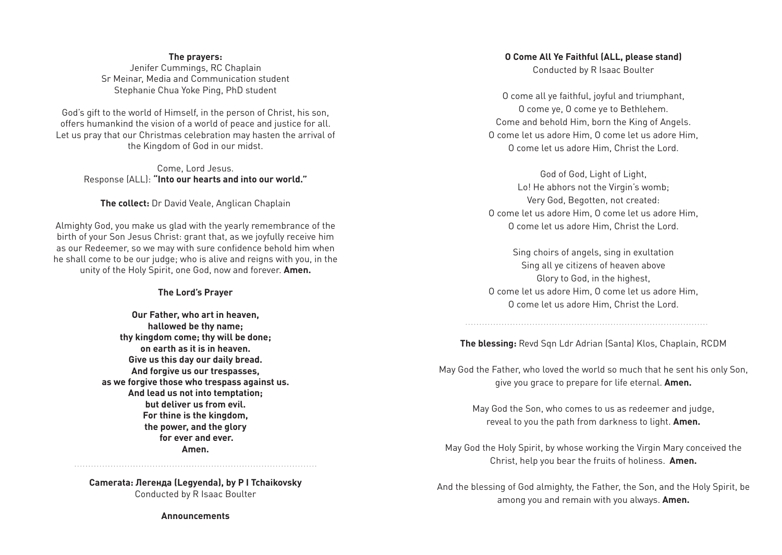#### **The prayers:**

Jenifer Cummings, RC Chaplain Sr Meinar, Media and Communication student Stephanie Chua Yoke Ping, PhD student

God's gift to the world of Himself, in the person of Christ, his son, offers humankind the vision of a world of peace and justice for all. Let us pray that our Christmas celebration may hasten the arrival of the Kingdom of God in our midst.

Come, Lord Jesus. Response (ALL): **"Into our hearts and into our world."**

**The collect:** Dr David Veale, Anglican Chaplain

Almighty God, you make us glad with the yearly remembrance of the birth of your Son Jesus Christ: grant that, as we joyfully receive him as our Redeemer, so we may with sure confidence behold him when he shall come to be our judge; who is alive and reigns with you, in the unity of the Holy Spirit, one God, now and forever. **Amen.**

**The Lord's Prayer**

**Our Father, who art in heaven, hallowed be thy name; thy kingdom come; thy will be done; on earth as it is in heaven. Give us this day our daily bread. And forgive us our trespasses, as we forgive those who trespass against us. And lead us not into temptation; but deliver us from evil. For thine is the kingdom, the power, and the glory for ever and ever. Amen.**

**Camerata: Легенда (Legyenda), by P I Tchaikovsky** Conducted by R Isaac Boulter

**O Come All Ye Faithful (ALL, please stand)** Conducted by R Isaac Boulter

O come all ye faithful, joyful and triumphant, O come ye, O come ye to Bethlehem. Come and behold Him, born the King of Angels. O come let us adore Him, O come let us adore Him, O come let us adore Him, Christ the Lord.

God of God, Light of Light, Lo! He abhors not the Virgin's womb; Very God, Begotten, not created: O come let us adore Him, O come let us adore Him, O come let us adore Him, Christ the Lord.

Sing choirs of angels, sing in exultation Sing all ye citizens of heaven above Glory to God, in the highest, O come let us adore Him, O come let us adore Him, O come let us adore Him, Christ the Lord.

**The blessing:** Revd Sqn Ldr Adrian (Santa) Klos, Chaplain, RCDM

May God the Father, who loved the world so much that he sent his only Son, give you grace to prepare for life eternal. **Amen.**

> May God the Son, who comes to us as redeemer and judge, reveal to you the path from darkness to light. **Amen.**

May God the Holy Spirit, by whose working the Virgin Mary conceived the Christ, help you bear the fruits of holiness. **Amen.**

And the blessing of God almighty, the Father, the Son, and the Holy Spirit, be among you and remain with you always. **Amen.**

**Announcements**